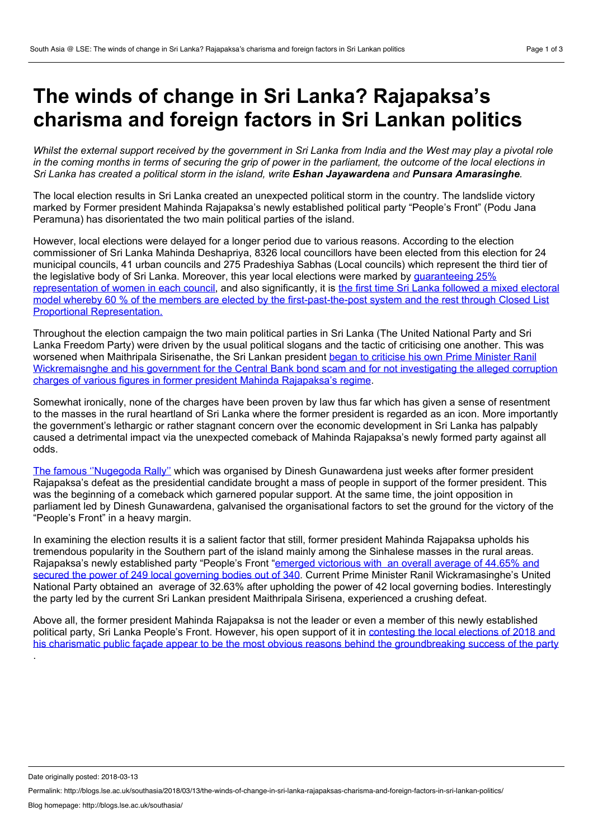## **The winds of change in Sri Lanka? Rajapaksa's charisma and foreign factors in Sri Lankan politics**

Whilst the external support received by the government in Sri Lanka from India and the West may play a pivotal role in the coming months in terms of securing the grip of power in the parliament, the outcome of the local elections in *Sri Lanka has created a political storm in the island, write Eshan Jayawardena and Punsara Amarasinghe.*

The local election results in Sri Lanka created an unexpected political storm in the country. The landslide victory marked by Former president Mahinda Rajapaksa's newly established political party "People's Front" (Podu Jana Peramuna) has disorientated the two main political parties of the island.

However, local elections were delayed for a longer period due to various reasons. According to the election commissioner of Sri Lanka Mahinda Deshapriya, 8326 local councillors have been elected from this election for 24 municipal councils, 41 urban councils and 275 Pradeshiya Sabhas (Local councils) which represent the third tier of the legislative body of Sri Lanka. Moreover, this year local elections were marked by quaranteeing 25% [representation](http://dailynews.lk/2017/03/11/local/110068/sri-lanka-has-25-percent-women-representation-local-bodies) of women in each council, and also significantly, it is the first time Sri Lanka followed a mixed electoral model whereby 60 % of the members are elected by the [first-past-the-post](http://ifes.org/faqs/elections-sri-lanka-2018-local-government-elections) system and the rest through Closed List Proportional Representation.

Throughout the election campaign the two main political parties in Sri Lanka (The United National Party and Sri Lanka Freedom Party) were driven by the usual political slogans and the tactic of criticising one another. This was worsened when Maithripala Sirisenathe, the Sri Lankan president began to criticise his own Prime Minister Ranil [Wickremaisnghe](http://www.dailymirror.lk/article/Bond-scam-Dominant-topic-at-election-campaign-144596.html) and his government for the Central Bank bond scam and for not investigating the alleged corruption charges of various figures in former president Mahinda Rajapaksa's regime.

Somewhat ironically, none of the charges have been proven by law thus far which has given a sense of resentment to the masses in the rural heartland of Sri Lanka where the former president is regarded as an icon. More importantly the government's lethargic orrather stagnant concern over the economic development in Sri Lanka has palpably caused a detrimental impact via the unexpected comeback of Mahinda Rajapaksa's newly formed party against all odds.

The famous [''Nugegoda](http://dbsjeyaraj.com/dbsj/archives/38973) Rally'' which was organised by Dinesh Gunawardena just weeks after former president Rajapaksa's defeat as the presidential candidate brought a mass of people in support of the former president. This was the beginning of a comeback which garnered popular support. At the same time, the joint opposition in parliament led by Dinesh Gunawardena, galvanised the organisational factors to set the ground for the victory of the "People's Front" in a heavy margin.

In examining the election results it is a salient factor that still, former president Mahinda Rajapaksa upholds his tremendous popularity in the Southern part of the island mainly among the Sinhalese masses in the rural areas. Rajapaksa's newly established party "People's Front "emerged victorious with an overall average of 44.65% and secured the power of 249 local governing bodies out of 340. Current Prime Minister Ranil [Wickramasinghe's](http://www.adaderana.lk/local-authorities-election-2018/) United National Party obtained an average of 32.63% after upholding the power of 42 local governing bodies. Interestingly the party led by the current Sri Lankan president Maithripala Sirisena, experienced a crushing defeat.

Above all, the former president Mahinda Rajapaksa is not the leader or even a member of this newly established political party, Sri Lanka People's Front. However, his open support of it in contesting the local elections of 2018 and his charismatic public façade appear to be the most obvious reasons behind the [groundbreaking](http://www.firstpost.com/world/mahinda-rajapaksas-slpp-wins-big-in-sri-lankas-local-body-polls-is-former-president-on-comeback-trail-4348641.html) success of the party

Date originally posted: 2018-03-13

.

Permalink: http://blogs.lse.ac.uk/southasia/2018/03/13/the-winds-of-change-in-sri-lanka-rajapaksas-charisma-and-foreign-factors-in-sri-lankan-politics/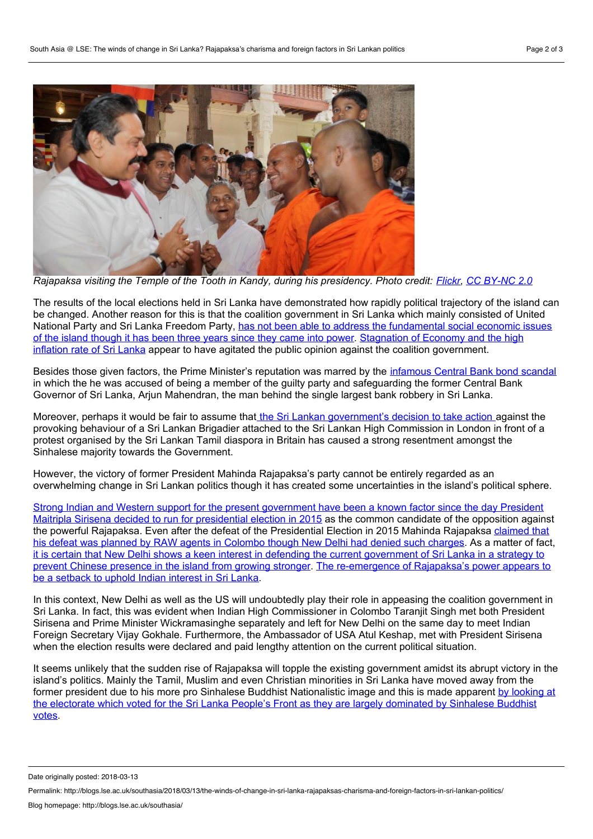

Rajapaksa visiting the Temple of the Tooth in Kandy, during his presidency. Photo credit: [Flickr](https://www.flickr.com/photos/presidentrajapaksa/9830631256/in/photolist-fYGybm-gZpesg-fM6Cew-q7i7gX-fKRnTx-fLP44Z-gZpeT6-fP1Qjp-gxrURw-fLPnrn-fM6WcS-apjcPr-fYGkCU-hkjvba-fLP1w4-s44TvS-fXdmQ6-fTgr7w-gJpc2N-hK8AGP-CTT5gM-fXdmai-g39pdQ-fQJ3US-hiYqkz-gxrP5a-fXdwqQ-hPQMJq-fPioaC-fXdmoe-fQsvzC-fLP1a8-fM6WqC-fXdoRF-qqdqZD-fM6Wuf-fXdm9M-cc3Boo-fPiox7-fPrw2J-gjxiaY-gkmpNd-gQJqSu-qpWSfE-6uCUYp-fJRSv5-gQKboV-fJ7vWC-qFCPvk-gkm51B), CC [BY-NC](https://creativecommons.org/licenses/by-nc/2.0/) 2.0

The results of the local elections held in Sri Lanka have demonstrated how rapidly political trajectory of the island can be changed. Another reason for this is that the coalition government in Sri Lanka which mainly consisted of United National Party and Sri Lanka Freedom Party, has not been able to address the [fundamental](http://www.dailymirror.lk/135324/-Disappointed-) social economic issues of the island though it has been three years since they came into power. Stagnation of Economy and the high inflation rate of Sri Lanka appear to have agitated the public opinion against the coalition [government.](http://www.ft.lk/w-a-wijewardena-columns/An-economic-crisis-worsened-by-a-political-crisis--Time-is-running-out-for-Sri-Lanka/885-649689)

Besides those given factors, the Prime Minister's reputation was marred by the [infamous](http://groundviews.org/2015/03/26/the-bond-issue-controversy-an-analysis/) Central Bank bond scandal in which the he was accused of being a member of the guilty party and safeguarding the former Central Bank Governor of Sri Lanka, Arjun Mahendran, the man behind the single largest bank robbery in Sri Lanka.

Moreover, perhaps it would be fair to assume that the Sri Lankan [government's](http://www.thesundayleader.lk/2018/02/06/sri-lankan-official-in-uk-suspended-over-throat-cutting-gesture/) decision to take action against the provoking behaviour of a Sri Lankan Brigadier attached to the Sri Lankan High Commission in London in front of a protest organised by the Sri Lankan Tamil diaspora in Britain has caused a strong resentment amongst the Sinhalese majority towards the Government.

However, the victory of former President Mahinda Rajapaksa's party cannot be entirely regarded as an overwhelming change in Sri Lankan politics though it has created some uncertainties in the island's political sphere.

Strong Indian and Western support for the present [government](http://www.livemint.com/Politics/fygTRVQHiY3JatdxYfxN0M/What-Sirisenas-win-in-Sri-Lanka-means-for-India.html) have been a known factor since the day President Maitripla Sirisena decided to run for presidential election in 2015 as the common candidate of the opposition against the powerful Rajapaksa. Even after the defeat of the [Presidential](https://www.indiatoday.in/world/story/sri-lanka-president-mahinda-rajapaksa-blames-india-raw-for-his-election-defeat-244216-2015-03-13) Election in 2015 Mahinda Rajapaksa claimed that his defeat was planned by RAW agents in Colombo though New Delhi had denied such charges. As a matter of fact, it is certain that New Delhi shows a keen interest in defending the current government of Sri Lanka in a strategy to prevent Chinese presence in the island from growing stronger. The [re-emergence](http://www.livemint.com/Politics/fygTRVQHiY3JatdxYfxN0M/What-Sirisenas-win-in-Sri-Lanka-means-for-India.html) of Rajapaksa's power appears to be a setback to uphold Indian interest in Sri Lanka.

In this context, New Delhi as well as the US will undoubtedly play their role in appeasing the coalition government in Sri Lanka. In fact, this was evident when Indian High Commissioner in Colombo Taranjit Singh met both President Sirisena and Prime Minister Wickramasinghe separately and left for New Delhi on the same day to meet Indian Foreign Secretary Vijay Gokhale. Furthermore, the Ambassador of USA Atul Keshap, met with President Sirisena when the election results were declared and paid lengthy attention on the current political situation.

It seems unlikely that the sudden rise of Rajapaksa will topple the existing government amidst its abrupt victory in the island's politics. Mainly the Tamil, Muslim and even Christian minorities in Sri Lanka have moved away from the former president due to his more pro Sinhalese Buddhist [Nationalistic](http://island.lk/index.php?page_cat=article-details&page=article-details&code_title=179797) image and this is made apparent by looking at the electorate which voted for the Sri Lanka People's Front as they are largely dominated by Sinhalese Buddhist votes.

Date originally posted: 2018-03-13

Permalink: http://blogs.lse.ac.uk/southasia/2018/03/13/the-winds-of-change-in-sri-lanka-rajapaksas-charisma-and-foreign-factors-in-sri-lankan-politics/